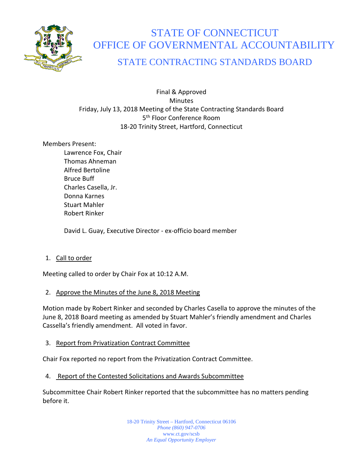

# STATE OF CONNECTICUT OFFICE OF GOVERNMENTAL ACCOUNTABILITY

# STATE CONTRACTING STANDARDS BOARD

Final & Approved **Minutes** Friday, July 13, 2018 Meeting of the State Contracting Standards Board 5<sup>th</sup> Floor Conference Room 18-20 Trinity Street, Hartford, Connecticut

# Members Present:

Lawrence Fox, Chair Thomas Ahneman Alfred Bertoline Bruce Buff Charles Casella, Jr. Donna Karnes Stuart Mahler Robert Rinker

David L. Guay, Executive Director - ex-officio board member

# 1. Call to order

Meeting called to order by Chair Fox at 10:12 A.M.

# 2. Approve the Minutes of the June 8, 2018 Meeting

Motion made by Robert Rinker and seconded by Charles Casella to approve the minutes of the June 8, 2018 Board meeting as amended by Stuart Mahler's friendly amendment and Charles Cassella's friendly amendment. All voted in favor.

# 3. Report from Privatization Contract Committee

Chair Fox reported no report from the Privatization Contract Committee.

4. Report of the Contested Solicitations and Awards Subcommittee

Subcommittee Chair Robert Rinker reported that the subcommittee has no matters pending before it.

> 18-20 Trinity Street – Hartford, Connecticut 06106 *Phone (860) 947-0706*  www.ct.gov/scsb *An Equal Opportunity Employer*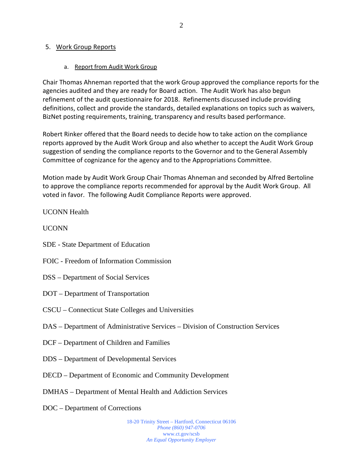#### 5. Work Group Reports

#### a. Report from Audit Work Group

Chair Thomas Ahneman reported that the work Group approved the compliance reports for the agencies audited and they are ready for Board action. The Audit Work has also begun refinement of the audit questionnaire for 2018. Refinements discussed include providing definitions, collect and provide the standards, detailed explanations on topics such as waivers, BizNet posting requirements, training, transparency and results based performance.

Robert Rinker offered that the Board needs to decide how to take action on the compliance reports approved by the Audit Work Group and also whether to accept the Audit Work Group suggestion of sending the compliance reports to the Governor and to the General Assembly Committee of cognizance for the agency and to the Appropriations Committee.

Motion made by Audit Work Group Chair Thomas Ahneman and seconded by Alfred Bertoline to approve the compliance reports recommended for approval by the Audit Work Group. All voted in favor. The following Audit Compliance Reports were approved.

#### UCONN Health

UCONN

- SDE State Department of Education
- FOIC Freedom of Information Commission
- DSS Department of Social Services
- DOT Department of Transportation
- CSCU Connecticut State Colleges and Universities
- DAS Department of Administrative Services Division of Construction Services
- DCF Department of Children and Families
- DDS Department of Developmental Services
- DECD Department of Economic and Community Development
- DMHAS Department of Mental Health and Addiction Services
- DOC Department of Corrections

18-20 Trinity Street – Hartford, Connecticut 06106 *Phone (860) 947-0706*  www.ct.gov/scsb *An Equal Opportunity Employer*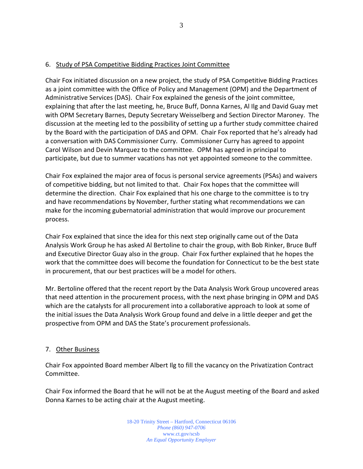### 6. Study of PSA Competitive Bidding Practices Joint Committee

Chair Fox initiated discussion on a new project, the study of PSA Competitive Bidding Practices as a joint committee with the Office of Policy and Management (OPM) and the Department of Administrative Services (DAS). Chair Fox explained the genesis of the joint committee, explaining that after the last meeting, he, Bruce Buff, Donna Karnes, Al Ilg and David Guay met with OPM Secretary Barnes, Deputy Secretary Weisselberg and Section Director Maroney. The discussion at the meeting led to the possibility of setting up a further study committee chaired by the Board with the participation of DAS and OPM. Chair Fox reported that he's already had a conversation with DAS Commissioner Curry. Commissioner Curry has agreed to appoint Carol Wilson and Devin Marquez to the committee. OPM has agreed in principal to participate, but due to summer vacations has not yet appointed someone to the committee.

Chair Fox explained the major area of focus is personal service agreements (PSAs) and waivers of competitive bidding, but not limited to that. Chair Fox hopes that the committee will determine the direction. Chair Fox explained that his one charge to the committee is to try and have recommendations by November, further stating what recommendations we can make for the incoming gubernatorial administration that would improve our procurement process.

Chair Fox explained that since the idea for this next step originally came out of the Data Analysis Work Group he has asked Al Bertoline to chair the group, with Bob Rinker, Bruce Buff and Executive Director Guay also in the group. Chair Fox further explained that he hopes the work that the committee does will become the foundation for Connecticut to be the best state in procurement, that our best practices will be a model for others.

Mr. Bertoline offered that the recent report by the Data Analysis Work Group uncovered areas that need attention in the procurement process, with the next phase bringing in OPM and DAS which are the catalysts for all procurement into a collaborative approach to look at some of the initial issues the Data Analysis Work Group found and delve in a little deeper and get the prospective from OPM and DAS the State's procurement professionals.

#### 7. Other Business

Chair Fox appointed Board member Albert Ilg to fill the vacancy on the Privatization Contract Committee.

Chair Fox informed the Board that he will not be at the August meeting of the Board and asked Donna Karnes to be acting chair at the August meeting.